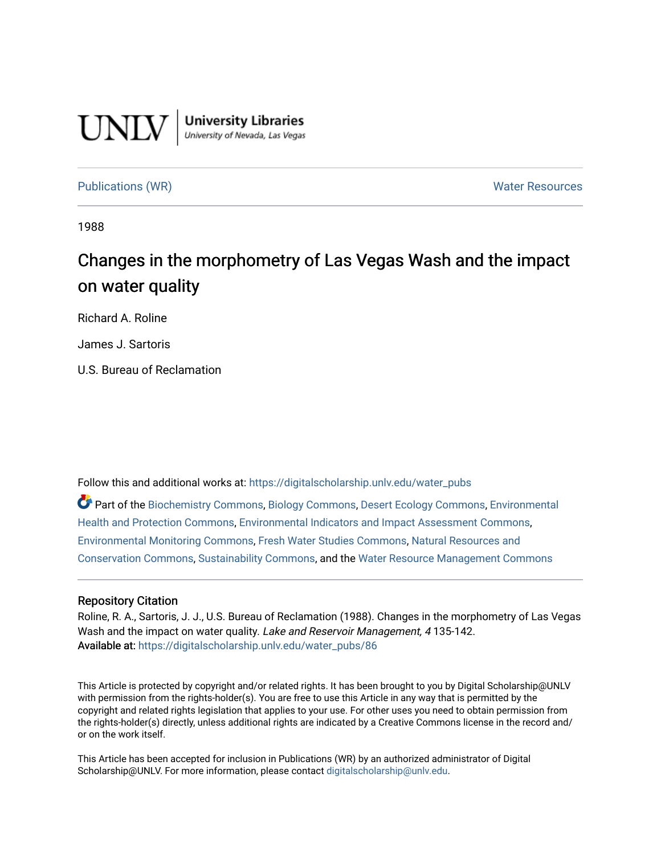# **UNLV**

**University Libraries**<br>University of Nevada, Las Vegas

#### [Publications \(WR\)](https://digitalscholarship.unlv.edu/water_pubs) Notifiable Resources and Mater Resources and Mater Resources

1988

# Changes in the morphometry of Las Vegas Wash and the impact on water quality

Richard A. Roline

James J. Sartoris

U.S. Bureau of Reclamation

Follow this and additional works at: [https://digitalscholarship.unlv.edu/water\\_pubs](https://digitalscholarship.unlv.edu/water_pubs?utm_source=digitalscholarship.unlv.edu%2Fwater_pubs%2F86&utm_medium=PDF&utm_campaign=PDFCoverPages) 

Part of the [Biochemistry Commons](http://network.bepress.com/hgg/discipline/2?utm_source=digitalscholarship.unlv.edu%2Fwater_pubs%2F86&utm_medium=PDF&utm_campaign=PDFCoverPages), [Biology Commons,](http://network.bepress.com/hgg/discipline/41?utm_source=digitalscholarship.unlv.edu%2Fwater_pubs%2F86&utm_medium=PDF&utm_campaign=PDFCoverPages) [Desert Ecology Commons,](http://network.bepress.com/hgg/discipline/1261?utm_source=digitalscholarship.unlv.edu%2Fwater_pubs%2F86&utm_medium=PDF&utm_campaign=PDFCoverPages) [Environmental](http://network.bepress.com/hgg/discipline/172?utm_source=digitalscholarship.unlv.edu%2Fwater_pubs%2F86&utm_medium=PDF&utm_campaign=PDFCoverPages)  [Health and Protection Commons](http://network.bepress.com/hgg/discipline/172?utm_source=digitalscholarship.unlv.edu%2Fwater_pubs%2F86&utm_medium=PDF&utm_campaign=PDFCoverPages), [Environmental Indicators and Impact Assessment Commons](http://network.bepress.com/hgg/discipline/1015?utm_source=digitalscholarship.unlv.edu%2Fwater_pubs%2F86&utm_medium=PDF&utm_campaign=PDFCoverPages), [Environmental Monitoring Commons,](http://network.bepress.com/hgg/discipline/931?utm_source=digitalscholarship.unlv.edu%2Fwater_pubs%2F86&utm_medium=PDF&utm_campaign=PDFCoverPages) [Fresh Water Studies Commons,](http://network.bepress.com/hgg/discipline/189?utm_source=digitalscholarship.unlv.edu%2Fwater_pubs%2F86&utm_medium=PDF&utm_campaign=PDFCoverPages) [Natural Resources and](http://network.bepress.com/hgg/discipline/168?utm_source=digitalscholarship.unlv.edu%2Fwater_pubs%2F86&utm_medium=PDF&utm_campaign=PDFCoverPages) [Conservation Commons](http://network.bepress.com/hgg/discipline/168?utm_source=digitalscholarship.unlv.edu%2Fwater_pubs%2F86&utm_medium=PDF&utm_campaign=PDFCoverPages), [Sustainability Commons,](http://network.bepress.com/hgg/discipline/1031?utm_source=digitalscholarship.unlv.edu%2Fwater_pubs%2F86&utm_medium=PDF&utm_campaign=PDFCoverPages) and the [Water Resource Management Commons](http://network.bepress.com/hgg/discipline/1057?utm_source=digitalscholarship.unlv.edu%2Fwater_pubs%2F86&utm_medium=PDF&utm_campaign=PDFCoverPages)

#### Repository Citation

Roline, R. A., Sartoris, J. J., U.S. Bureau of Reclamation (1988). Changes in the morphometry of Las Vegas Wash and the impact on water quality. Lake and Reservoir Management, 4135-142. Available at: [https://digitalscholarship.unlv.edu/water\\_pubs/86](https://digitalscholarship.unlv.edu/water_pubs/86) 

This Article is protected by copyright and/or related rights. It has been brought to you by Digital Scholarship@UNLV with permission from the rights-holder(s). You are free to use this Article in any way that is permitted by the copyright and related rights legislation that applies to your use. For other uses you need to obtain permission from the rights-holder(s) directly, unless additional rights are indicated by a Creative Commons license in the record and/ or on the work itself.

This Article has been accepted for inclusion in Publications (WR) by an authorized administrator of Digital Scholarship@UNLV. For more information, please contact [digitalscholarship@unlv.edu.](mailto:digitalscholarship@unlv.edu)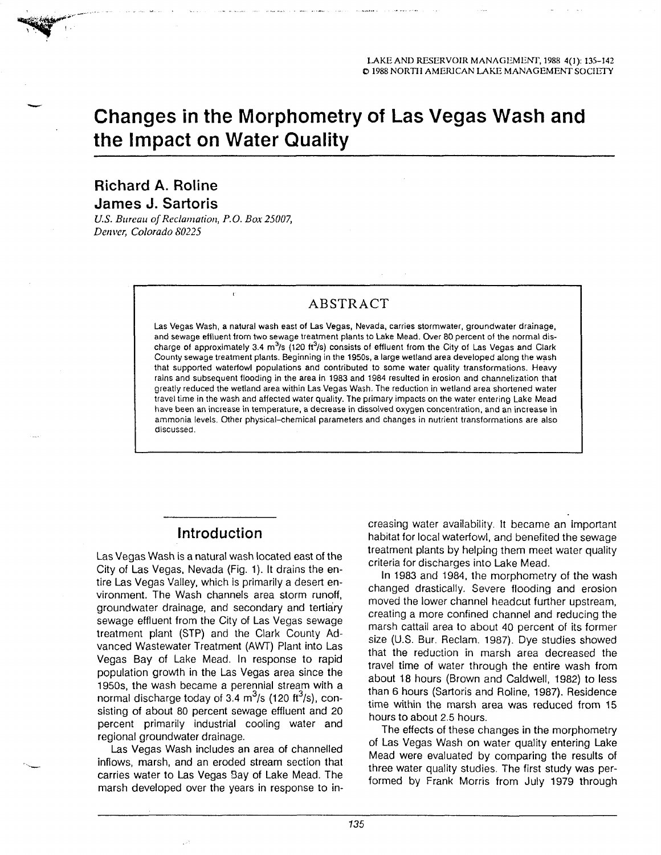## **Changes in the Morphometry of Las Vegas Wash and the Impact on Water Quality**

#### **Richard A. Roline James J. Sartoris**

*U.S. Bureau of Reclamation, P.O. Box 25007, Denver, Colorado 80225*

#### ABSTRACT

Las Vegas Wash, a natural wash east of Las Vegas, Nevada, carries storrnwater, groundwater drainage, and sewage effluent from two sewage treatment plants to Lake Mead. Over 80 percent of the normal dis charge of approximately 3.4 m<sup>3</sup>/s (120 ft<sup>3</sup>/s) consists of effluent from the City of Las Vegas and Clark County sewage treatment plants. Beginning in the 1950s, a large wetland area developed along the wash that supported waterfowl populations and contributed to some water quality transformations. Heavy rains and subsequent flooding in the area in 1983 and 1984 resulted in erosion and channelization that greatly reduced the wetland area within Las Vegas Wash. The reduction in wetland area shortened water travel time in the wash and affected water quality. The primary impacts on the water entering Lake Mead have been an increase in temperature, a decrease in dissolved oxygen concentration, and an increase in ammonia levels. Other physical-chemical parameters and changes in nutrient transformations are also discussed.

#### Introduction

Las Vegas Wash is a natural wash located east of the City of Las Vegas, Nevada (Fig. 1). It drains the en tire Las Vegas Valley, which is primarily a desert en vironment. The Wash channels area storm runoff, groundwater drainage, and secondary and tertiary sewage effluent from the City of Las Vegas sewage treatment plant (STP) and the Clark County Ad vanced Wastewater Treatment (AWT) Plant into Las Vegas Bay of Lake Mead. In response to rapid population growth in the Las Vegas area since the 1950s, the wash became a perennial stream with a normal discharge today of 3.4  $\mathrm{m}^3$ /s (120 ft<sup>3</sup>/s), consisting of about 80 percent sewage effluent and 20 percent primarily industrial cooling water and regional groundwater drainage. **Introduction**<br> **Introduction**<br> **Introduction**<br> **Introduction**<br> **Introduction**<br> **Introduction**<br> **Internative interferient control weaks bey been feed the servages<br>
<b>ICITy of Las Vegas, Nevada (Fig. 1).** It drains the en-<br>

Las Vegas Wash includes an area of channelled inflows, marsh, and an eroded stream section that carries water to Las Vegas Bay of Lake Mead. The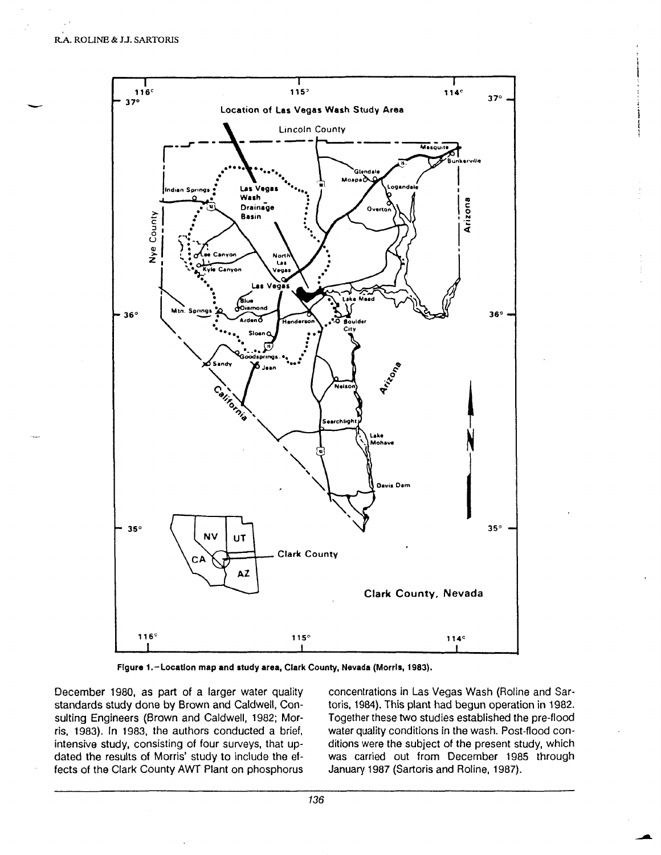

**Figure 1.-Location map and study area, Clark County, Nevada (Morris, 1983).**

December 1980, as part of a larger water quality standards study done by Brown and Caldwell, Con sulting Engineers (Brown and Caldwell, 1982; Mor ris, 1983). In 1983, the authors conducted a brief, intensive study, consisting of four surveys, that up dated the results of Morris' study to include the ef fects of the Clark County AWT Plant on phosphorus concentrations in Las Vegas Wash (Roline and Sar toris, 1984). This plant had begun operation in 1982. Together these two studies established the pre-flood water quality conditions in the wash. Post-flood con ditions were the subject of the present study, which was carried out from December 1985 through January 1987 (Sartoris and Roline, 1987).

136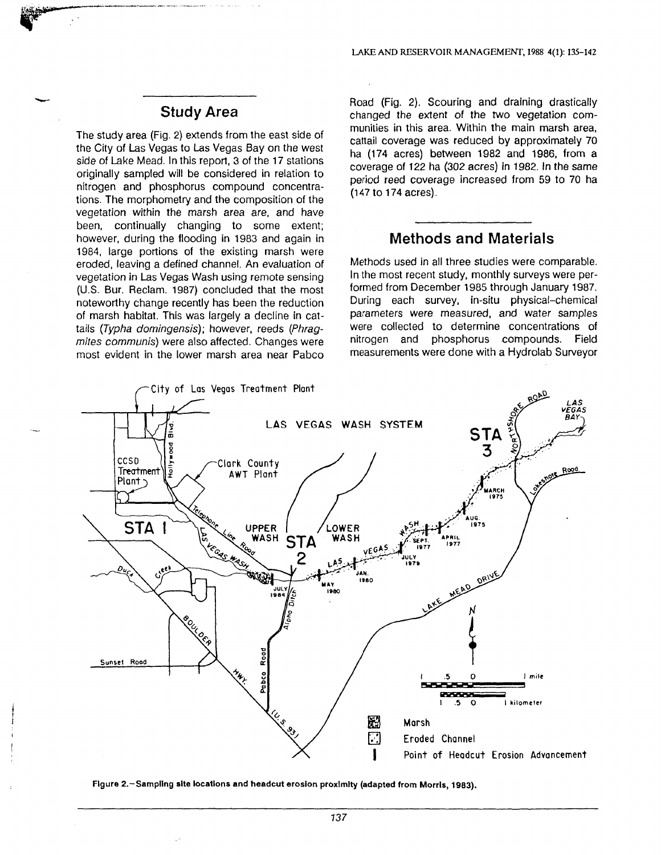#### Study Area

The study area (Fig. 2) extends from the east side of the City of Las Vegas to Las Vegas Bay on the west side of Lake Mead. In this report, 3 of the 17 stations originally sampled will be considered in relation to nitrogen and phosphorus compound concentra tions. The morphometry and the composition of the vegetation within the marsh area are, and have been, continually changing to some extent; however, during the flooding in 1983 and again in 1984, large portions of the existing marsh were eroded, leaving a defined channel. An evaluation of vegetation in Las Vegas Wash using remote sensing (U.S. Bur. Reclam. 1987) concluded that the most noteworthy change recently has been the reduction of marsh habitat. This was largely a decline in cat tails (Typha domingensis); however, reeds (Phragmites communis) were also affected. Changes were most evident in the lower marsh area near Pabco

Road (Fig. 2). Scouring and draining drastically changed the extent of the two vegetation com munities in this area. Within the main marsh area, cattail coverage was reduced by approximately 70 ha (174 acres) between 1982 and 1986, from a coverage of 122 ha (302 acres) in 1982. In the same period reed coverage increased from 59 to 70 ha (147 to 174 acres).

#### Methods and Materials

Methods used in all three studies were comparable. In the most recent study, monthly surveys were per formed from December 1985 through January 1987. During each survey, in-situ physical-chemical parameters were measured, and water samples were collected to determine concentrations of nitrogen and phosphorus compounds. Field measurements were done with a Hydrolab Surveyor



**Figure 2.-Sampllng site locations and headcut erosion proximity (adapted from Morris, 1983).**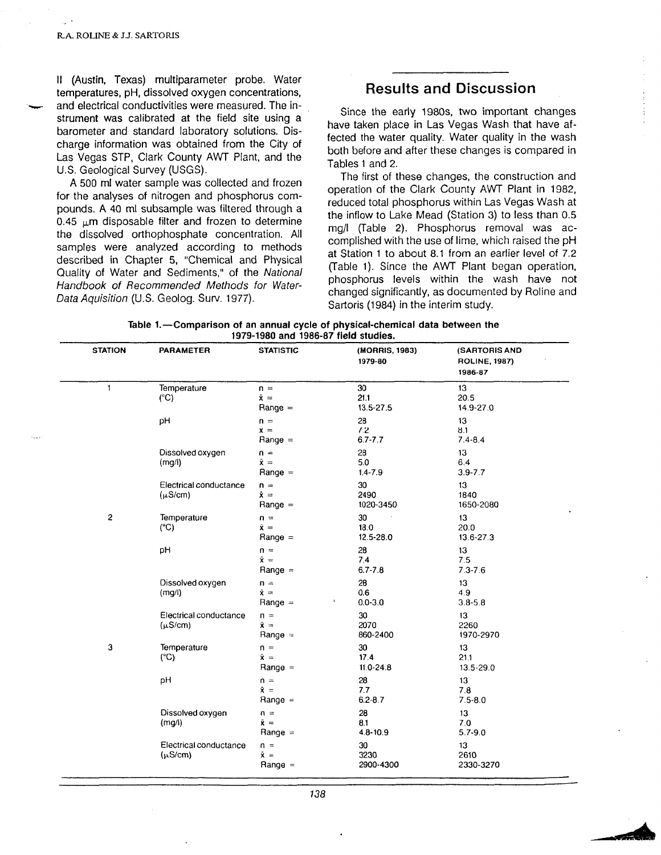II (Austin, Texas) multiparameter probe. Water temperatures, pH, dissolved oxygen concentrations, and electrical conductivities were measured. The in strument was calibrated at the field site using a barometer and standard laboratory solutions. Dis charge information was obtained from the City of Las Vegas STP, Clark County AWT Plant, and the U.S. Geological Survey (USGS).

A 500 ml water sample was collected and frozen for the analyses of nitrogen and phosphorus com pounds. A 40 ml subsample was filtered through a 0.45  $\mu$ m disposable filter and frozen to determine the dissolved orthophosphate concentration. All samples were analyzed according to methods described in Chapter 5, "Chemical and Physical Quality of Water and Sediments," of the National Handbook of Recommended Methods for Water-Data Aquisition (U.S. Geolog. Surv. 1977).

#### **Results and Discussion**

Since the early 1980s, two important changes have taken place in Las Vegas Wash that have af fected the water quality. Water quality in the wash both before and after these changes is compared in Tables 1 and 2.

The first of these changes, the construction and operation of the Clark County AWT Plant in 1982, reduced total phosphorus within Las Vegas Wash at the inflow to Lake Mead (Station 3) to less than 0.5 mg/l (Table 2). Phosphorus removal was ac complished with the use of lime, which raised the pH at Station 1 to about 8.1 from an earlier level of 7.2 (Table 1). Since the AWT Plant began operation, phosphorus levels within the wash have not changed significantly, as documented by Roline and Sartoris (1984) in the interim study.

| Table 1.—Comparison of an annual cycle of physical-chemical data between the |  |                                      |  |
|------------------------------------------------------------------------------|--|--------------------------------------|--|
|                                                                              |  | 1979-1980 and 1986-87 field studies. |  |

| <b>STATION</b> | <b>PARAMETER</b>                       | <b>STATISTIC</b>                             | (MORRIS, 1983)<br>1979-80                | (SARTORIS AND<br><b>ROLINE, 1987)</b><br>1986-87 |
|----------------|----------------------------------------|----------------------------------------------|------------------------------------------|--------------------------------------------------|
| 1              | Temperature<br>$(^{\circ}C)$           | $n =$<br>$\bar{x} =$<br>$Range =$            | 30<br>21.1<br>13.5-27.5                  | 13<br>20.5<br>14.9-27.0                          |
|                | pH                                     | $n =$<br>$\bar{x}$ =<br>$Range =$            | 28<br>7.2<br>$6.7 - 7.7$                 | 13<br>8.1<br>$7.4 - 8.4$                         |
|                | Dissolved oxygen<br>(mg/l)             | $n =$<br>$\bar{x}$ =<br>$Range =$            | 28<br>5.0<br>$1.4 - 7.9$                 | 13<br>6.4<br>$3.9 - 7.7$                         |
|                | Electrical conductance<br>$(\mu S/cm)$ | $n =$<br>$\bar{x}$ =<br>$Range =$            | 30<br>2490<br>1020-3450                  | 13<br>1840<br>1650-2080                          |
| $\overline{c}$ | Temperature<br>(C)                     | $n =$<br>$\tilde{\mathbf{x}} =$<br>$Range =$ | 30<br>18.0<br>12.5-28.0                  | 13 <sup>°</sup><br>20.0<br>13.6-27.3             |
|                | pH                                     | $n =$<br>$\bar{x}$ =<br>Range $=$            | 28<br>7.4<br>$6.7 - 7.8$                 | 13<br>7.5<br>$7.3 - 7.6$                         |
|                | Dissolved oxygen<br>(mg/l)             | $n =$<br>$\bar{x} =$<br>Range $=$            | 28<br>0.6<br>$0.0 - 3.0$<br>$\mathbf{f}$ | 13<br>4.9<br>$3.8 - 5.8$                         |
|                | Electrical conductance<br>$(\mu S/cm)$ | $n =$<br>$\tilde{\mathbf{x}} =$<br>Range $=$ | 30<br>2070<br>860-2400                   | 13<br>2260<br>1970-2970                          |
| 3              | Temperature<br>(C)                     | $n =$<br>$\bar{\mathbf{x}} =$<br>$Range =$   | 30<br>17.4<br>$11.0 - 24.8$              | 13<br>21.1<br>13.5-29.0                          |
|                | pH                                     | $n =$<br>$\bar{x}$ =<br>Range $=$            | 28<br>7.7<br>$6.2 - 8.7$                 | 13<br>7.8<br>$7.5 - 8.0$                         |
|                | Dissolved oxygen<br>(mg/l)             | $n =$<br>$\tilde{\mathbf{x}} =$<br>Range $=$ | 28<br>8.1<br>$4.8 - 10.9$                | 13<br>7.0<br>$5.7 - 9.0$                         |
|                | Electrical conductance<br>$(\mu S/cm)$ | $n =$<br>$\bar{x}$ =<br>$Range =$            | 30<br>3230<br>2900-4300                  | 13<br>2610<br>2330-3270                          |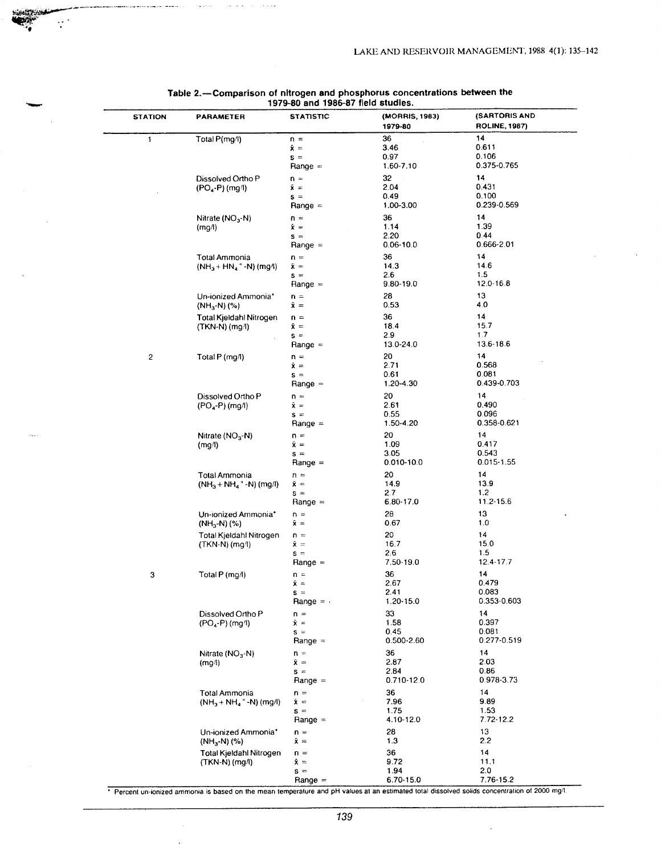| <b>STATION</b> | <b>PARAMETER</b>                                        | <b>STATISTIC</b>                                      | (MORRIS, 1983)<br>1979-80                        | <b>(SARTORIS AND</b><br><b>ROLINE, 1987)</b>     |
|----------------|---------------------------------------------------------|-------------------------------------------------------|--------------------------------------------------|--------------------------------------------------|
| 1              | Total P(mg/l)                                           | $n =$<br>$\bar{x}$ =<br>$s =$<br>Range $=$            | 36<br>3.46<br>0.97<br>1.60-7.10                  | 14<br>0.611<br>0.106<br>0.375-0.765              |
|                | Dissolved Ortho P<br>$(PO_4-P)$ (mg/l)                  | $n =$<br>$\tilde{\mathbf{x}} =$<br>$s =$<br>$Range =$ | 32<br>2.04<br>0.49<br>1.00-3.00                  | 14<br>0.431<br>0.100<br>0.239-0.569              |
|                | Nitrate $(NO3-N)$<br>(mg/l)                             | $n =$<br>$\mathbf{\tilde{x}} =$<br>$s =$<br>$Range =$ | 36<br>1.14<br>2.20<br>$0.06 - 10.0$              | 14<br>1.39<br>0.44<br>0.666-2.01                 |
|                | Total Ammonia<br>$(NH_3 + HN_4 + N)$ (mg/l)             | $n =$<br>$\bar{x}$ =<br>$s =$                         | 36<br>14.3<br>2.6<br>9.80-19.0                   | 14<br>14.6<br>1.5<br>12.0-16.8                   |
|                | Un-ionized Ammonia*<br>(NH <sub>3</sub> -N) (%)         | $Range =$<br>$n =$<br>$\bar{\mathbf{x}}$ =            | 28<br>0.53                                       | 13<br>4.0                                        |
|                | Total Kjeldahl Nitrogen<br>(TKN-N) (mg/l)               | $n =$<br>й=<br>$s =$                                  | 36<br>18.4<br>2.9                                | 14<br>15.7<br>1.7                                |
| $\overline{c}$ | Total P (mg/l)                                          | Range =<br>ก =<br>Ř=<br>$s =$                         | 13.0-24.0<br>20<br>2.71<br>0.61<br>$1.20 - 4.30$ | 13.6-18.6<br>14<br>0.568<br>0.081<br>0.439-0.703 |
|                | Dissolved Ortho P<br>$(PO_4-P)$ (mg/l)                  | $Range =$<br>$n =$<br>χ =<br>$s =$<br>$Range =$       | 20<br>2.61<br>0.55<br>1.50-4.20                  | 14<br>0.490<br>0.096<br>0.358-0.621              |
|                | Nitrate $(NO3 - N)$<br>(mg/l)                           | $n =$<br>$\bar{x}$ =<br>$s =$<br>Range =              | 20<br>1.09<br>3.05<br>0.010-10.0                 | 14<br>0.417<br>0.543<br>0.015-1.55               |
|                | Total Ammonia<br>$(NH_3 + NH_4$ <sup>+</sup> -N) (mg/l) | $n =$<br>Ñ =<br>$s =$<br>$Range =$                    | 20<br>14.9<br>2.7<br>6.80-17.0                   | 14<br>13.9<br>1.2<br>11.2-15.6                   |
|                | Un-ionized Ammonia*<br>$(NH_3-N)(\%)$                   | $n =$<br>$\bar{x}$ =                                  | 28<br>0.67                                       | 13<br>1.0                                        |
|                | Total Kjeldahl Nitrogen<br>(TKN-N) (mg/l)               | $n =$<br>$\hat{\mathsf{x}} =$<br>$s =$<br>$Range =$   | 20<br>16.7<br>2.6<br>7.50-19.0                   | 14<br>15.0<br>1.5<br>$12.4 - 17.7$               |
| з              | Total P (mg/l)                                          | $n =$<br>$\bar{x}$ =<br>$s =$<br>Range $=$            | 36<br>2.67<br>2.41<br>1.20-15.0                  | 14<br>0.479<br>0.083<br>0.353-0.603              |
|                | Dissolved Ortho P<br>$(PO4-P) (mg/l)$                   | $n =$<br>$\hat{x}$ =<br>$s =$<br>Range $=$            | 33<br>1.58<br>0.45<br>0.500-2.60                 | 14<br>0.397<br>0.081<br>0.277-0.519              |
|                | Nitrate $(NO3 - N)$<br>(mg/l)                           | $n =$<br>$\bar{x} =$<br>$s =$<br>$Range =$            | 36<br>2.87<br>2.84<br>0.710-12.0                 | 14<br>2.03<br>0.86<br>0.978-3.73                 |
|                | Total Ammonia<br>$(NH_3 + NH_4$ <sup>+</sup> -N) (mg/l) | $n =$<br>$\bar{\mathbf{x}}$ =<br>$s =$<br>$Range =$   | 36<br>7.96<br>1.75<br>4.10-12.0                  | 14<br>9.89<br>1.53<br>7.72-12.2                  |
|                | Un-ionized Ammonia*<br>$(NH_3-N)(%$                     | $n =$<br>$\bar{x} =$                                  | 28<br>1.3                                        | 13<br>2.2                                        |
|                | Total Kjeldahl Nitrogen<br>(TKN-N) (mg/l)               | $n =$<br>$\bar{x}$ =<br>$s =$<br>$Range =$            | 36<br>9.72<br>1.94<br>6.70-15.0                  | 14<br>11.1<br>2.0<br>7.76-15.2                   |

### **Table 2.—Comparison of nitrogen and phosphorus concentrations between the 1979-80 and 1986-87 field studies.**

 $\sim$   $\sim$   $\sim$ 

المتحدث والمتقطعة والمرواني ومرودية والمتحدث والمتابعة الموالي والمتابع

متدود والتراميس سرا

Percent un-ionized ammonia is based on the mean temperature and pH values at an estimated total dissolved solids concentration of 2000 mg/l.

 $\ddot{\phantom{a}}$ 

 $\overline{\phantom{a}}$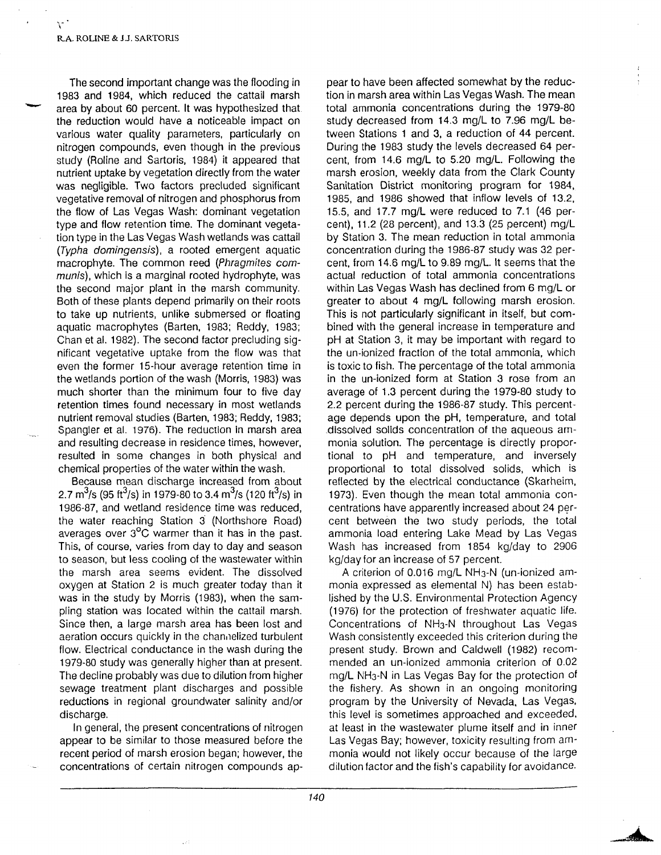$\mathcal{L}$ 

The second important change was the flooding in 1983 and 1984, which reduced the cattail marsh area by about 60 percent. It was hypothesized that the reduction would have a noticeable impact on various water quality parameters, particularly on nitrogen compounds, even though in the previous study (Roline and Sartoris, 1984) it appeared that nutrient uptake by vegetation directly from the water was negligible. Two factors precluded significant vegetative removal of nitrogen and phosphorus from the flow of Las Vegas Wash: dominant vegetation type and flow retention time. The dominant vegeta tion type in the Las Vegas Wash wetlands was cattail (Typha domingensis), a rooted emergent aquatic macrophyte. The common reed (Phragmites communis), which is a marginal rooted hydrophyte, was the second major plant in the marsh community. Both of these plants depend primarily on their roots to take up nutrients, unlike submersed or floating aquatic macrophytes (Barten, 1983; Reddy, 1983; Chan et al. 1982). The second factor precluding sig nificant vegetative uptake from the flow was that even the former 15-hour average retention time in the wetlands portion of the wash (Morris, 1983) was much shorter than the minimum four to five day retention times found necessary in most wetlands nutrient removal studies (Barten, 1983; Reddy, 1983; Spangler et al. 1976). The reduction in marsh area and resulting decrease in residence times, however, resulted in some changes in both physical and chemical properties of the water within the wash.

Because mean discharge increased from about 2.7 m<sup>3</sup>/s (95 ft<sup>3</sup>/s) in 1979-80 to 3.4 m<sup>3</sup>/s (120 ft<sup>3</sup>/s) in 1986-87, and wetland residence time was reduced, the water reaching Station 3 (Northshore Road) averages over 3°C warmer than it has in the past. This, of course, varies from day to day and season to season, but less cooling of the wastewater within the marsh area seems evident. The dissolved oxygen at Station 2 is much greater today than it was in the study by Morris (1983), when the sam pling station was located within the cattail marsh. Since then, a large marsh area has been lost and aeration occurs quickly in the channelized turbulent flow. Electrical conductance in the wash during the 1979-80 study was generally higher than at present. The decline probably was due to dilution from higher sewage treatment plant discharges and possible reductions in regional groundwater salinity and/or discharge.

In general, the present concentrations of nitrogen appear to be similar to those measured before the recent period of marsh erosion began; however, the

This second improvement the focological<br>
in the show as the fille of focological point in the show beam affects constrained by the reason and the reason and the state of the state of the state of the fille of the state of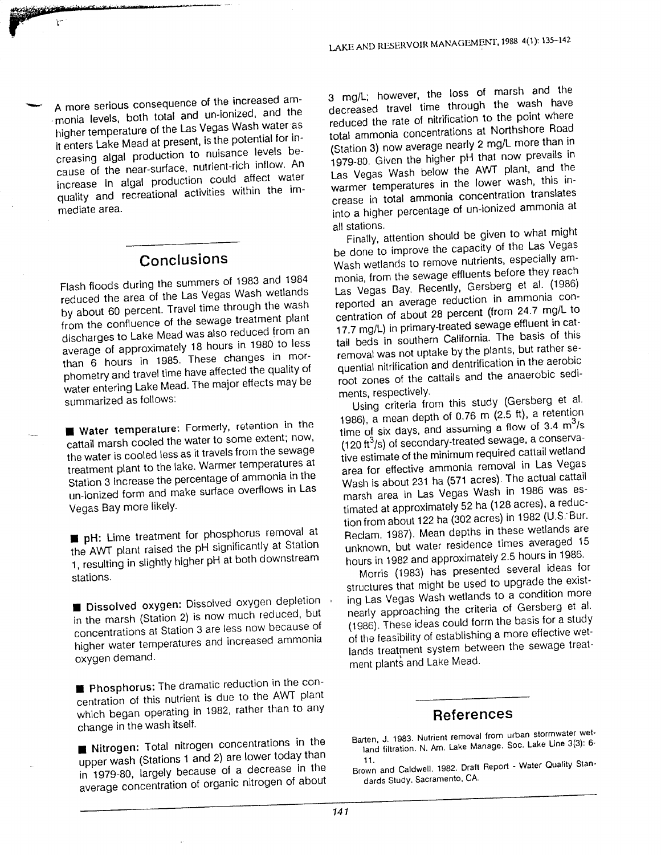t uses actious consequence of the increased am mere compared to the total and un-ionized, and the ition a terms of the Las Vegas Wash water as it enters I also Mead at present, is the potential for in receive the nutrient to nuisance levels be e in all production could be in a mean-surface, nutrient-rich inflow. A  $\frac{1}{2}$  the contraction could affect water mediat e area. mediate area.

#### $\mathbf{v}$ Conclusions

s

<u>concern companies</u>

riagh floods during the summers of 1983 and 198 riash hoods dannig the Las Vegas Wash wetland frough the wa  $\frac{dy}{dx}$  absence of the sewage treatment pla if the community Mead was also reduced from ensemanges to meet the changes to more cannot in the sense of approximately 18 hours in 1980 to le average of approximately<br>then 6 hours in 1985. These changes in me that is not travel time have affected the quality prioritori j<sup>uma</sup>rizologi summarized as follows:

water tomperature: Formerly, retention in essential march cooled the water to some extent; no the water is cooled less as it travels from the sew? treatment plant to the lake. Warmer temperatures m and increase the percentage of ammonia in  $\frac{6}{10}$  in ionized form an Vegas Bay more likely.

• pH: Lim e treatment for phosphorus removal at

 $\blacksquare$   $\blacksquare$   $\blacksquare$   $\blacksquare$   $\blacksquare$   $\blacksquare$  treatment for phosphorus removal  $\mu_{\rm ho}$  and near raised the pH significantly at Sta 1, resulting in slightly higher pH at both downstream stations.

**in** Dissolved, oxygen: Dissolved oxygen deple  $\overline{C}$  the march (Station 2) is now much reduced. appentistions at Station 3 are less now because higher water temperatures and increased ammonia oxygen demand.

**EXECUTE:** The dramatic reduction in the  $\frac{1}{2}$  contration of this nutrient is due to the AWT e change is a change of the contract of the contract of the contract of the contract of the contract of the contract of the contract of the contract of the contract of the contract of the contract of the contract of the co change in the wash itself.

**up Nitrogen:** Total nitrogen concentrations in  $\frac{1}{2}$  in the  $\frac{1}{2}$  subset (Stations 1 and 2) are lower today in 1979-80, largely because of a decrease li

3 mg/L; however, th e loss of marsh an d th e  $3 \text{ mg/L}$ ; nowever, the just of the wash have ne toue<br>...throug decreased travel time through the point where  $\infty$  point where reduced the rate of mimouno. The many Road total ammonia concernations at the manono al 11212.  $1978$  (Station 3) now average nearly  $2 \frac{m}{3}$ . 1979-80. Given the higher primaring the 1979-80. Las Vegas wash below the *new part* sie in warmer temperatures in the force. crease in total ammonia concentration ammonia into a niy

stations.<br>Listations Finally, alternoon should be given the Las Vega De done to improve the e capacity of the sepecially and Wash wellands to remove namelines from they reach  $m$  to the theorem the theorem  $t$ monia, from the sewage emperies were at at. (198 Las vegas Day, necessity, consumer g reported an average reduction  $m = 0.4.7$  moll e reduction in the 24.7 m 17. C entration of about zo percent (now a effluent in cater  $t = 17.7$  mg/L) in primary-mean corresponding to  $\frac{t}{t}$  the basis of the rall begs in southern ballother. tail beds in southern California. The basis of this removal was not uptake by the premary quential minication and deminicance root zones of the ments, respectively.

is, respectively.<br>List of the methic study (Gersberg et Using chiena nomination case,  $(2.5 \text{ ft})$ , a retent 1986), a mean depin or  $\sigma$ ,  $\sigma$  in  $\mu$ ,  $\sigma$  is  $\sigma$ ,  $\sigma$  $\overline{1}$  $\mu$  for six days, and assuming  $\mu$  is the secondary-(120 lt 75) Of Secondary a categories of the minimum required cattail wetland re estimate of the minimum regarder of the ground in Las Vegas area for effective antification concern. wash is about 201 haven't denote. marsii area iii Las Vogas Waen<br>at al comprehensive formation (128 acres), a red filmated at approximatory of the  $(202 \text{ years})$  in 1982 (LLS) Ton from about Tee has done to these wetlands Heciam, 1967), wean depine in the averaged UNKHOWH, DUL WALCH TOOLOGIES

hours in 1984 and approximately the words (1900) has presenced to upgrade the exist- $\frac{1}{2}$  Structures that might be asset to  $\frac{1}{2}$  condition n ing Las veyas masir nome ng Las veyas viasit womando to a compare hearly applicating the chora of the basis for a studies (1986). These ideas como form the later (1986). These ideas como form the later of the teasibility of establishing a these sewage to lands treatment system

## Reference s

- $\frac{1}{2}$  1983.  $\frac{1}{2}$  for  $\frac{1}{2}$  from  $\frac{1}{2}$  for  $\frac{1}{2}$  for  $\frac{1}{2}$  for  $\frac{1}{2}$ Barten, J. 1983. Nutrient Terribyal Rom. Soc. Lake Line 3
- Brown and Caldwell. 11. Brown and Caldwell. 1964

<sub>7</sub>